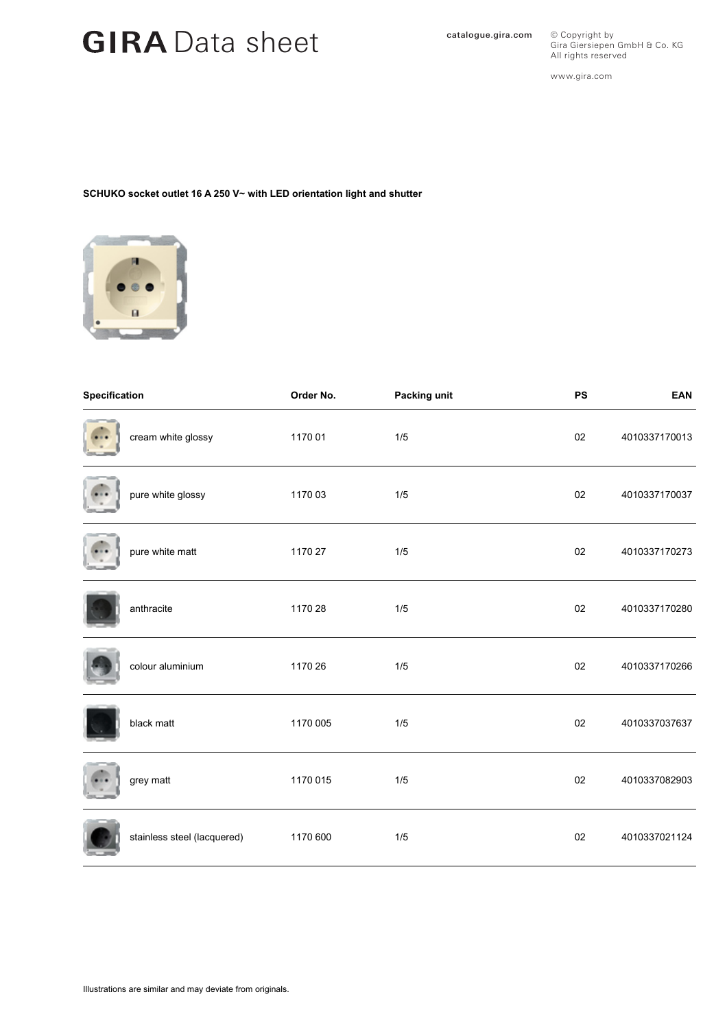# GIRA Data sheet **GIRA** Data sheet

All rights reserved www.gira.com

© Copyright by

Gira Giersiepen GmbH & Co. KG

## **SCHUKO socket outlet 16 A 250 V~ with LED orientation light and shutter**



| Specification |                             | Order No. | Packing unit | PS | EAN           |
|---------------|-----------------------------|-----------|--------------|----|---------------|
|               | cream white glossy          | 1170 01   | 1/5          | 02 | 4010337170013 |
|               | pure white glossy           | 1170 03   | 1/5          | 02 | 4010337170037 |
|               | pure white matt             | 1170 27   | 1/5          | 02 | 4010337170273 |
|               | anthracite                  | 1170 28   | 1/5          | 02 | 4010337170280 |
|               | colour aluminium            | 1170 26   | 1/5          | 02 | 4010337170266 |
|               | black matt                  | 1170 005  | 1/5          | 02 | 4010337037637 |
|               | grey matt                   | 1170 015  | 1/5          | 02 | 4010337082903 |
|               | stainless steel (lacquered) | 1170 600  | 1/5          | 02 | 4010337021124 |